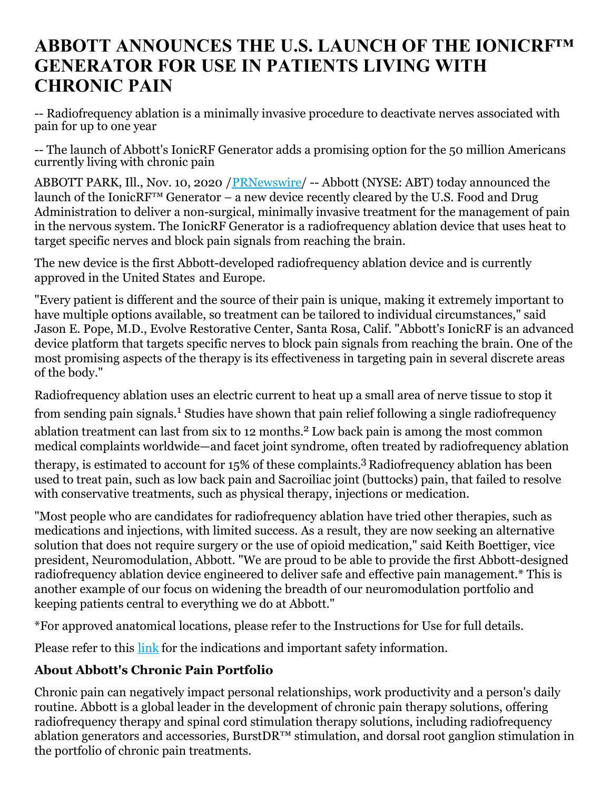## **ABBOTT ANNOUNCES THE U.S. LAUNCH OF THE IONICRF™ GENERATOR FOR USE IN PATIENTS LIVING WITH CHRONIC PAIN**

-- Radiofrequency ablation is a minimally invasive procedure to deactivate nerves associated with pain for up to one year

-- The launch of Abbott's IonicRF Generator adds a promising option for the 50 million Americans currently living with chronic pain

ABBOTT PARK, Ill., Nov. 10, 2020 / PRNewswire/ -- Abbott (NYSE: ABT) today announced the launch of the IonicRF<sup>™</sup> Generator – a new device recently cleared by the U.S. Food and Drug Administration to deliver a non-surgical, minimally invasive treatment for the management of pain in the nervous system. The IonicRF Generator is a radiofrequency ablation device that uses heat to target specific nerves and block pain signals from reaching the brain.

The new device is the first Abbott-developed radiofrequency ablation device and is currently approved in the United States and Europe.

"Every patient is different and the source of their pain is unique, making it extremely important to have multiple options available, so treatment can be tailored to individual circumstances," said Jason E. Pope, M.D., Evolve Restorative Center, Santa Rosa, Calif. "Abbott's IonicRF is an advanced device platform that targets specific nerves to block pain signals from reaching the brain. One of the most promising aspects of the therapy is its effectiveness in targeting pain in several discrete areas of the body."

Radiofrequency ablation uses an electric current to heat up a small area of nerve tissue to stop it from sending pain signals.<sup>1</sup> Studies have shown that pain relief following a single radiofrequency ablation treatment can last from six to 12 months. <sup>2</sup> Low back pain is among the most common medical complaints worldwide—and facet joint syndrome, often treated by radiofrequency ablation therapy, is estimated to account for 15% of these complaints. <sup>3</sup> Radiofrequency ablation has been used to treat pain, such as low back pain and Sacroiliac joint (buttocks) pain, that failed to resolve

with conservative treatments, such as physical therapy, injections or medication. "Most people who are candidates for radiofrequency ablation have tried other therapies, such as

medications and injections, with limited success. As a result, they are now seeking an alternative solution that does not require surgery or the use of opioid medication," said Keith Boettiger, vice president, Neuromodulation, Abbott. "We are proud to be able to provide the first Abbott-designed radiofrequency ablation device engineered to deliver safe and effective pain management.\* This is another example of our focus on widening the breadth of our neuromodulation portfolio and keeping patients central to everything we do at Abbott."

\*For approved anatomical locations, please refer to the Instructions for Use for full details.

Please refer to this [link](https://c212.net/c/link/?t=0&l=en&o=2976006-1&h=1617784714&u=https%3A%2F%2Fwww.neuromodulation.abbott%2Fint%2Fen%2Fhcp%2Fproducts%2Fradiofrequency-chronic-pain%2Fionic-rf-generator.html&a=link) for the indications and important safety information.

## **About Abbott's Chronic Pain Portfolio**

Chronic pain can negatively impact personal relationships, work productivity and a person's daily routine. Abbott is a global leader in the development of chronic pain therapy solutions, offering radiofrequency therapy and spinal cord stimulation therapy solutions, including radiofrequency ablation generators and accessories, BurstDR<sup>™</sup> stimulation, and dorsal root ganglion stimulation in the portfolio of chronic pain treatments.